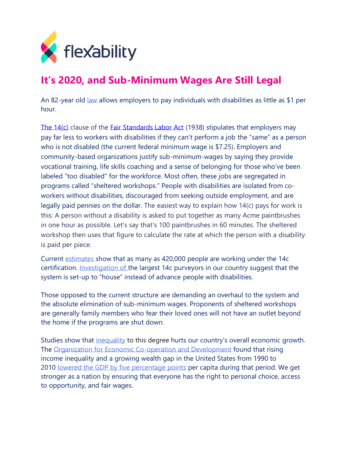

## **It's 2020, and Sub-Minimum Wages Are Still Legal**

An 82-year old [law](https://www.dol.gov/agencies/whd/special-employment) allows employers to pay individuals with disabilities as little as \$1 per hour.

[The 14\(c\)](http://www.paproviders.org/wp-content/uploads/2018/04/14cPowerPointPresentation-04192018.pdf) clause of the [Fair Standards Labor Act](https://www.dol.gov/agencies/whd/flsa) (1938) stipulates that employers may pay far less to workers with disabilities if they can't perform a job the "same" as a person who is not disabled (the current federal minimum wage is \$7.25). Employers and community-based organizations justify sub-minimum-wages by saying they provide vocational training, life skills coaching and a sense of belonging for those who've been labeled "too disabled" for the workforce. Most often, these jobs are segregated in programs called "sheltered workshops." People with disabilities are isolated from coworkers without disabilities, discouraged from seeking outside employment, and are legally paid pennies on the dollar. The easiest way to explain how 14(c) pays for work is this: A person without a disability is asked to put together as many Acme paintbrushes in one hour as possible. Let's say that's 100 paintbrushes in 60 minutes. The sheltered workshop then uses that figure to calculate the rate at which the person with a disability is paid per piece.

Current [estimates](https://www.dol.gov/agencies/whd/workers-with-disabilities/section-14c/certificate-holders/county-rehabilitation-programs) show that as many as 420,000 people are working under the 14c certification. Investigation of the largest 14c purveyors in our country suggest that the system is set-up to "house" instead of advance people with disabilities.

Those opposed to the current structure are demanding an overhaul to the system and the absolute elimination of sub-minimum wages. Proponents of sheltered workshops are generally family members who fear their loved ones will not have an outlet beyond the home if the programs are shut down.

Studies show that [inequality](https://www.oecd-ilibrary.org/social-issues-migration-health/trends-in-income-inequality-and-its-impact-on-economic-growth_5jxrjncwxv6j-en;jsessionid=DvcC_XiyHmTPTxtjm3AooQfz.ip-10-240-5-37) to this degree hurts our country's overall economic growth. The [Organization for Economic Co-operation and Development](http://www.oecd.org/about/membersandpartners/list-oecd-member-countries.htm) found that rising income inequality and a growing wealth gap in the United States from 1990 to 2010 [lowered the GDP by five percentage points](http://www.oecd-ilibrary.org/docserver/download/5jxrjncwxv6j-en.pdf?expires=1516297823&id=id&accname=guest&checksum=9F74137A86168889BDDEC1204AB9F4BE) per capita during that period. We get stronger as a nation by ensuring that everyone has the right to personal choice, access to opportunity, and fair wages.